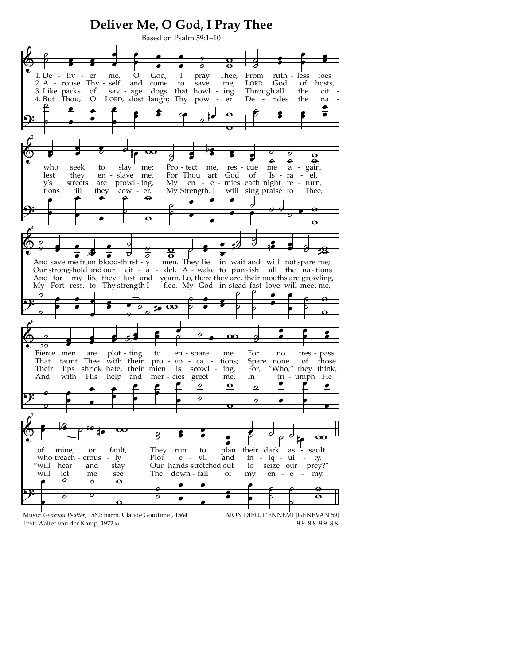